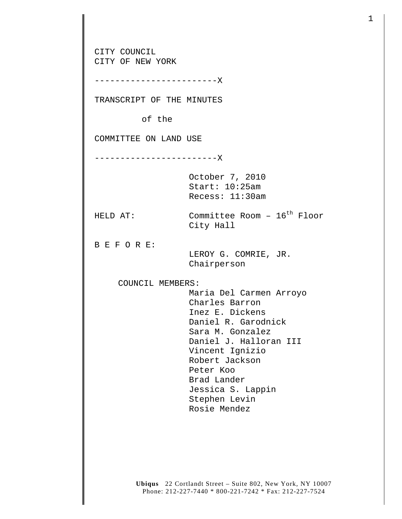**Ubiqus** 22 Cortlandt Street – Suite 802, New York, NY 10007 CITY COUNCIL CITY OF NEW YORK ------------------------X TRANSCRIPT OF THE MINUTES of the COMMITTEE ON LAND USE ------------------------X October 7, 2010 Start: 10:25am Recess: 11:30am HELD AT:  $\sim$  Committee Room -  $16^{th}$  Floor City Hall B E F O R E: LEROY G. COMRIE, JR. Chairperson COUNCIL MEMBERS: Maria Del Carmen Arroyo Charles Barron Inez E. Dickens Daniel R. Garodnick Sara M. Gonzalez Daniel J. Halloran III Vincent Ignizio Robert Jackson Peter Koo Brad Lander Jessica S. Lappin Stephen Levin Rosie Mendez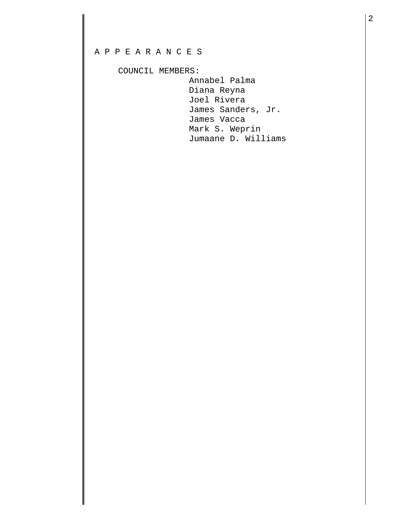## A P P E A R A N C E S

## COUNCIL MEMBERS:

 Annabel Palma Diana Reyna Joel Rivera James Sanders, Jr. James Vacca Mark S. Weprin Jumaane D. Williams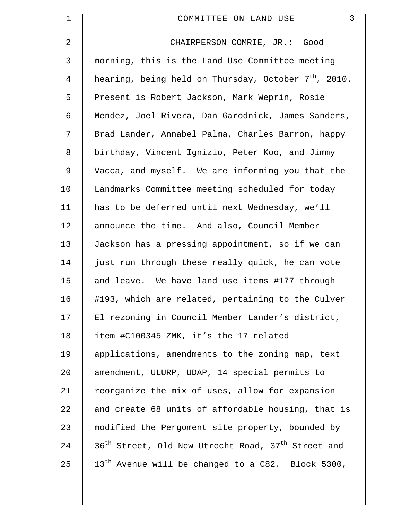| $\mathbf 1$ | 3<br>COMMITTEE ON LAND USE                                                 |
|-------------|----------------------------------------------------------------------------|
| 2           | CHAIRPERSON COMRIE, JR.: Good                                              |
| 3           | morning, this is the Land Use Committee meeting                            |
| 4           | hearing, being held on Thursday, October $7th$ , 2010.                     |
| 5           | Present is Robert Jackson, Mark Weprin, Rosie                              |
| 6           | Mendez, Joel Rivera, Dan Garodnick, James Sanders,                         |
| 7           | Brad Lander, Annabel Palma, Charles Barron, happy                          |
| 8           | birthday, Vincent Ignizio, Peter Koo, and Jimmy                            |
| 9           | Vacca, and myself. We are informing you that the                           |
| 10          | Landmarks Committee meeting scheduled for today                            |
| 11          | has to be deferred until next Wednesday, we'll                             |
| 12          | announce the time. And also, Council Member                                |
| 13          | Jackson has a pressing appointment, so if we can                           |
| 14          | just run through these really quick, he can vote                           |
| 15          | and leave. We have land use items #177 through                             |
| 16          | #193, which are related, pertaining to the Culver                          |
| 17          | El rezoning in Council Member Lander's district,                           |
| 18          | item #C100345 ZMK, it's the 17 related                                     |
| 19          | applications, amendments to the zoning map, text                           |
| 20          | amendment, ULURP, UDAP, 14 special permits to                              |
| 21          | reorganize the mix of uses, allow for expansion                            |
| 22          | and create 68 units of affordable housing, that is                         |
| 23          | modified the Pergoment site property, bounded by                           |
| 24          | 36 <sup>th</sup> Street, Old New Utrecht Road, 37 <sup>th</sup> Street and |
| 25          | 13 <sup>th</sup> Avenue will be changed to a C82. Block 5300,              |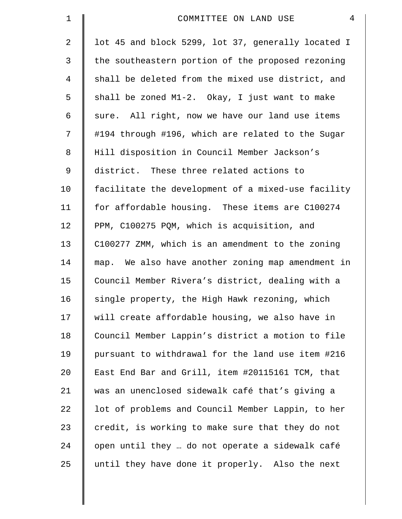| $\mathbf 1$    | 4<br>COMMITTEE ON LAND USE                         |
|----------------|----------------------------------------------------|
| 2              | lot 45 and block 5299, lot 37, generally located I |
| $\mathfrak{Z}$ | the southeastern portion of the proposed rezoning  |
| 4              | shall be deleted from the mixed use district, and  |
| 5              | shall be zoned M1-2. Okay, I just want to make     |
| 6              | sure. All right, now we have our land use items    |
| 7              | #194 through #196, which are related to the Sugar  |
| 8              | Hill disposition in Council Member Jackson's       |
| $\mathsf 9$    | district. These three related actions to           |
| 10             | facilitate the development of a mixed-use facility |
| 11             | for affordable housing. These items are C100274    |
| 12             | PPM, C100275 PQM, which is acquisition, and        |
| 13             | C100277 ZMM, which is an amendment to the zoning   |
| 14             | map. We also have another zoning map amendment in  |
| 15             | Council Member Rivera's district, dealing with a   |
| 16             | single property, the High Hawk rezoning, which     |
| 17             | will create affordable housing, we also have in    |
| 18             | Council Member Lappin's district a motion to file  |
| 19             | pursuant to withdrawal for the land use item #216  |
| 20             | East End Bar and Grill, item #20115161 TCM, that   |
| 21             | was an unenclosed sidewalk café that's giving a    |
| 22             | lot of problems and Council Member Lappin, to her  |
| 23             | credit, is working to make sure that they do not   |
| 24             | open until they  do not operate a sidewalk café    |
| 25             | until they have done it properly. Also the next    |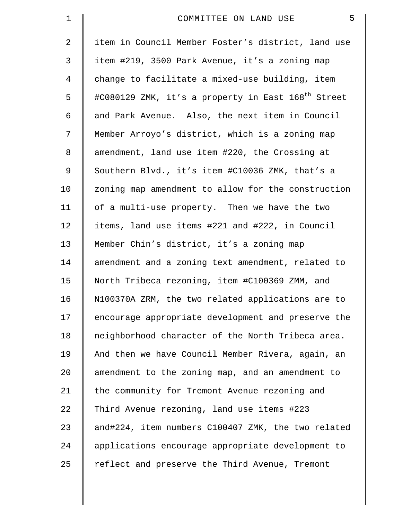| $\mathbf 1$    | 5<br>COMMITTEE ON LAND USE                                     |
|----------------|----------------------------------------------------------------|
| 2              | item in Council Member Foster's district, land use             |
| 3              | item #219, 3500 Park Avenue, it's a zoning map                 |
| $\overline{4}$ | change to facilitate a mixed-use building, item                |
| 5              | #C080129 ZMK, it's a property in East 168 <sup>th</sup> Street |
| 6              | and Park Avenue. Also, the next item in Council                |
| 7              | Member Arroyo's district, which is a zoning map                |
| 8              | amendment, land use item #220, the Crossing at                 |
| 9              | Southern Blvd., it's item #C10036 ZMK, that's a                |
| 10             | zoning map amendment to allow for the construction             |
| 11             | of a multi-use property. Then we have the two                  |
| 12             | items, land use items #221 and #222, in Council                |
| 13             | Member Chin's district, it's a zoning map                      |
| 14             | amendment and a zoning text amendment, related to              |
| 15             | North Tribeca rezoning, item #C100369 ZMM, and                 |
| 16             | N100370A ZRM, the two related applications are to              |
| 17             | encourage appropriate development and preserve the             |
| 18             | neighborhood character of the North Tribeca area.              |
| 19             | And then we have Council Member Rivera, again, an              |
| 20             | amendment to the zoning map, and an amendment to               |
| 21             | the community for Tremont Avenue rezoning and                  |
| 22             | Third Avenue rezoning, land use items #223                     |
| 23             | and#224, item numbers C100407 ZMK, the two related             |
| 24             | applications encourage appropriate development to              |
| 25             | reflect and preserve the Third Avenue, Tremont                 |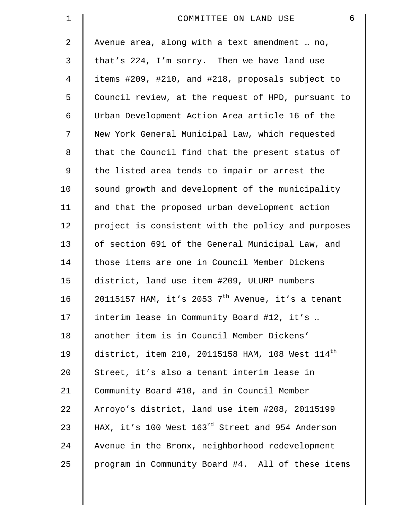| $\mathbf 1$ | $\epsilon$<br>COMMITTEE ON LAND USE                          |
|-------------|--------------------------------------------------------------|
| 2           | Avenue area, along with a text amendment  no,                |
| 3           | that's 224, I'm sorry. Then we have land use                 |
| 4           | items #209, #210, and #218, proposals subject to             |
| 5           | Council review, at the request of HPD, pursuant to           |
| 6           | Urban Development Action Area article 16 of the              |
| 7           | New York General Municipal Law, which requested              |
| 8           | that the Council find that the present status of             |
| 9           | the listed area tends to impair or arrest the                |
| 10          | sound growth and development of the municipality             |
| 11          | and that the proposed urban development action               |
| 12          | project is consistent with the policy and purposes           |
| 13          | of section 691 of the General Municipal Law, and             |
| 14          | those items are one in Council Member Dickens                |
| 15          | district, land use item #209, ULURP numbers                  |
| 16          | 20115157 HAM, it's 2053 $7th$ Avenue, it's a tenant          |
| 17          | interim lease in Community Board #12, it's                   |
| 18          | another item is in Council Member Dickens'                   |
| 19          | district, item 210, 20115158 HAM, 108 West $114^{\text{th}}$ |
| 20          | Street, it's also a tenant interim lease in                  |
| 21          | Community Board #10, and in Council Member                   |
| 22          | Arroyo's district, land use item #208, 20115199              |
| 23          | HAX, it's 100 West 163rd Street and 954 Anderson             |
| 24          | Avenue in the Bronx, neighborhood redevelopment              |
| 25          | program in Community Board #4. All of these items            |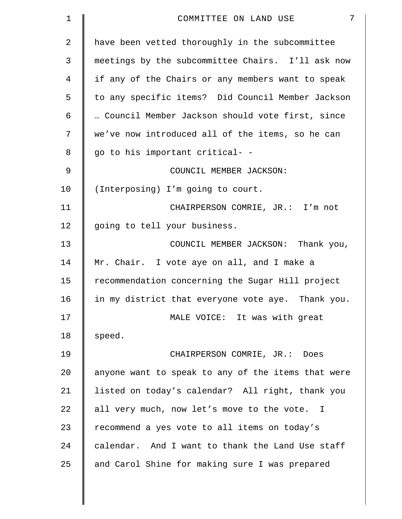| $\mathbf 1$ | 7<br>COMMITTEE ON LAND USE                         |
|-------------|----------------------------------------------------|
| 2           | have been vetted thoroughly in the subcommittee    |
| 3           | meetings by the subcommittee Chairs. I'll ask now  |
| 4           | if any of the Chairs or any members want to speak  |
| 5           | to any specific items? Did Council Member Jackson  |
| 6           | Council Member Jackson should vote first, since    |
| 7           | we've now introduced all of the items, so he can   |
| 8           | go to his important critical- -                    |
| 9           | COUNCIL MEMBER JACKSON:                            |
| 10          | (Interposing) I'm going to court.                  |
| 11          | CHAIRPERSON COMRIE, JR.: I'm not                   |
| 12          | going to tell your business.                       |
| 13          | COUNCIL MEMBER JACKSON: Thank you,                 |
| 14          | Mr. Chair. I vote aye on all, and I make a         |
| 15          | recommendation concerning the Sugar Hill project   |
| 16          | in my district that everyone vote aye. Thank you.  |
| 17          | MALE VOICE: It was with great                      |
| 18          | speed.                                             |
| 19          | CHAIRPERSON COMRIE, JR.: Does                      |
| 20          | anyone want to speak to any of the items that were |
| 21          | listed on today's calendar? All right, thank you   |
| 22          | all very much, now let's move to the vote. I       |
| 23          | recommend a yes vote to all items on today's       |
| 24          | calendar. And I want to thank the Land Use staff   |
| 25          | and Carol Shine for making sure I was prepared     |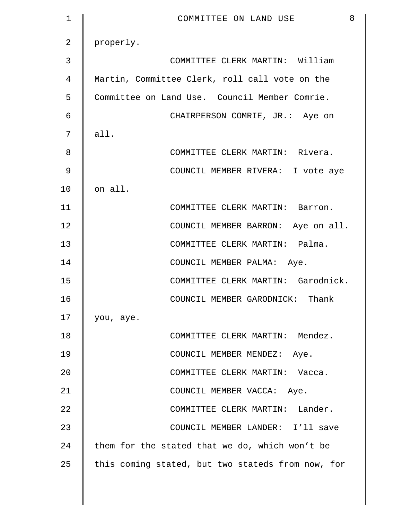| $\mathbf 1$    | 8<br>COMMITTEE ON LAND USE                        |
|----------------|---------------------------------------------------|
| $\overline{2}$ | properly.                                         |
| 3              | COMMITTEE CLERK MARTIN: William                   |
| 4              | Martin, Committee Clerk, roll call vote on the    |
| 5              | Committee on Land Use. Council Member Comrie.     |
| 6              | CHAIRPERSON COMRIE, JR.: Aye on                   |
| 7              | all.                                              |
| 8              | COMMITTEE CLERK MARTIN: Rivera.                   |
| 9              | COUNCIL MEMBER RIVERA: I vote aye                 |
| 10             | on all.                                           |
| 11             | COMMITTEE CLERK MARTIN: Barron.                   |
| 12             | COUNCIL MEMBER BARRON: Aye on all.                |
| 13             | COMMITTEE CLERK MARTIN: Palma.                    |
| 14             | COUNCIL MEMBER PALMA: Aye.                        |
| 15             | COMMITTEE CLERK MARTIN: Garodnick.                |
| 16             | COUNCIL MEMBER GARODNICK: Thank                   |
| 17             | you, aye.                                         |
| 18             | COMMITTEE CLERK MARTIN: Mendez.                   |
| 19             | COUNCIL MEMBER MENDEZ: Aye.                       |
| 20             | COMMITTEE CLERK MARTIN: Vacca.                    |
| 21             | COUNCIL MEMBER VACCA: Aye.                        |
| 22             | COMMITTEE CLERK MARTIN: Lander.                   |
| 23             | COUNCIL MEMBER LANDER: I'll save                  |
| 24             | them for the stated that we do, which won't be    |
| 25             | this coming stated, but two stateds from now, for |
|                |                                                   |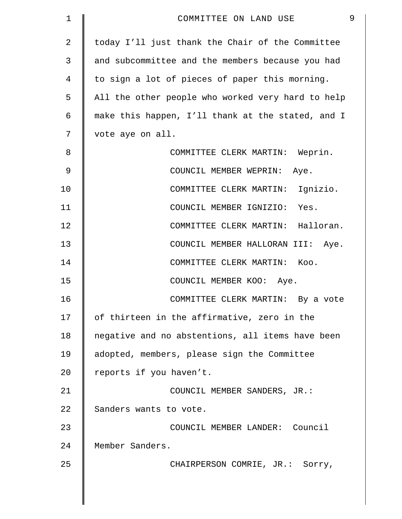| 1              | 9<br>COMMITTEE ON LAND USE                        |
|----------------|---------------------------------------------------|
| $\overline{2}$ | today I'll just thank the Chair of the Committee  |
| 3              | and subcommittee and the members because you had  |
| 4              | to sign a lot of pieces of paper this morning.    |
| 5              | All the other people who worked very hard to help |
| 6              | make this happen, I'll thank at the stated, and I |
| 7              | vote aye on all.                                  |
| 8              | COMMITTEE CLERK MARTIN: Weprin.                   |
| 9              | COUNCIL MEMBER WEPRIN: Aye.                       |
| 10             | COMMITTEE CLERK MARTIN: Ignizio.                  |
| 11             | COUNCIL MEMBER IGNIZIO:<br>Yes.                   |
| 12             | COMMITTEE CLERK MARTIN: Halloran.                 |
| 13             | COUNCIL MEMBER HALLORAN III: Aye.                 |
| 14             | COMMITTEE CLERK MARTIN: Koo.                      |
| 15             | COUNCIL MEMBER KOO: Aye.                          |
| 16             | COMMITTEE CLERK MARTIN: By a vote                 |
| 17             | of thirteen in the affirmative, zero in the       |
| 18             | negative and no abstentions, all items have been  |
| 19             | adopted, members, please sign the Committee       |
| 20             | reports if you haven't.                           |
| 21             | COUNCIL MEMBER SANDERS, JR.:                      |
| 22             | Sanders wants to vote.                            |
| 23             | COUNCIL MEMBER LANDER: Council                    |
| 24             | Member Sanders.                                   |
| 25             | CHAIRPERSON COMRIE, JR.: Sorry,                   |
|                |                                                   |
|                |                                                   |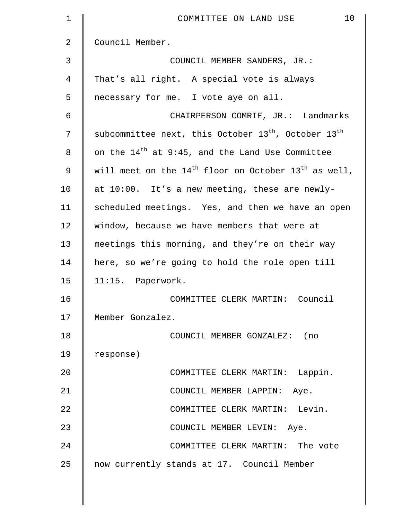| $\mathbf 1$ | 10<br>COMMITTEE ON LAND USE                                    |
|-------------|----------------------------------------------------------------|
| 2           | Council Member.                                                |
| 3           | COUNCIL MEMBER SANDERS, JR.:                                   |
| 4           | That's all right. A special vote is always                     |
| 5           | necessary for me. I vote aye on all.                           |
| 6           | CHAIRPERSON COMRIE, JR.: Landmarks                             |
| 7           | subcommittee next, this October $13^{th}$ , October $13^{th}$  |
| 8           | on the 14 <sup>th</sup> at 9:45, and the Land Use Committee    |
| 9           | will meet on the $14^{th}$ floor on October $13^{th}$ as well, |
| 10          | at 10:00. It's a new meeting, these are newly-                 |
| 11          | scheduled meetings. Yes, and then we have an open              |
| 12          | window, because we have members that were at                   |
| 13          | meetings this morning, and they're on their way                |
| 14          | here, so we're going to hold the role open till                |
| 15          | 11:15. Paperwork.                                              |
| 16          | COMMITTEE CLERK MARTIN: Council                                |
| 17          | Member Gonzalez.                                               |
| 18          | COUNCIL MEMBER GONZALEZ: (no                                   |
| 19          | response)                                                      |
| 20          | COMMITTEE CLERK MARTIN: Lappin.                                |
| 21          | COUNCIL MEMBER LAPPIN: Aye.                                    |
| 22          | COMMITTEE CLERK MARTIN: Levin.                                 |
| 23          | COUNCIL MEMBER LEVIN: Aye.                                     |
| 24          | COMMITTEE CLERK MARTIN: The vote                               |
| 25          | now currently stands at 17. Council Member                     |
|             |                                                                |

 $\parallel$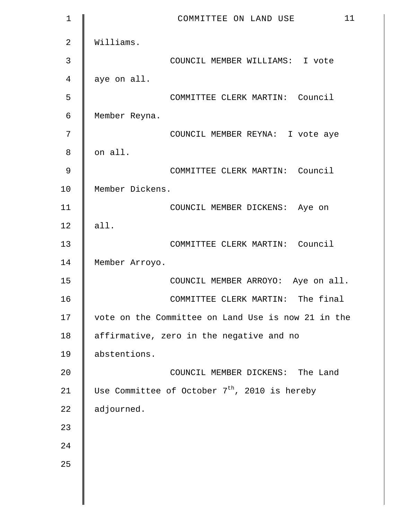| $\mathbf 1$    | 11<br>COMMITTEE ON LAND USE                        |
|----------------|----------------------------------------------------|
| $\overline{2}$ | Williams.                                          |
| 3              | COUNCIL MEMBER WILLIAMS: I vote                    |
| 4              | aye on all.                                        |
| 5              | COMMITTEE CLERK MARTIN: Council                    |
| 6              | Member Reyna.                                      |
| 7              | COUNCIL MEMBER REYNA: I vote aye                   |
| 8              | on all.                                            |
| 9              | COMMITTEE CLERK MARTIN: Council                    |
| 10             | Member Dickens.                                    |
| 11             | COUNCIL MEMBER DICKENS: Aye on                     |
| 12             | all.                                               |
| 13             | COMMITTEE CLERK MARTIN: Council                    |
| 14             | Member Arroyo.                                     |
| 15             | COUNCIL MEMBER ARROYO: Aye on all.                 |
| 16             | COMMITTEE CLERK MARTIN: The final                  |
| 17             | vote on the Committee on Land Use is now 21 in the |
| 18             | affirmative, zero in the negative and no           |
| 19             | abstentions.                                       |
| 20             | COUNCIL MEMBER DICKENS: The Land                   |
| 21             | Use Committee of October $7th$ , 2010 is hereby    |
| 22             | adjourned.                                         |
| 23             |                                                    |
| 24             |                                                    |
| 25             |                                                    |
|                |                                                    |
|                |                                                    |